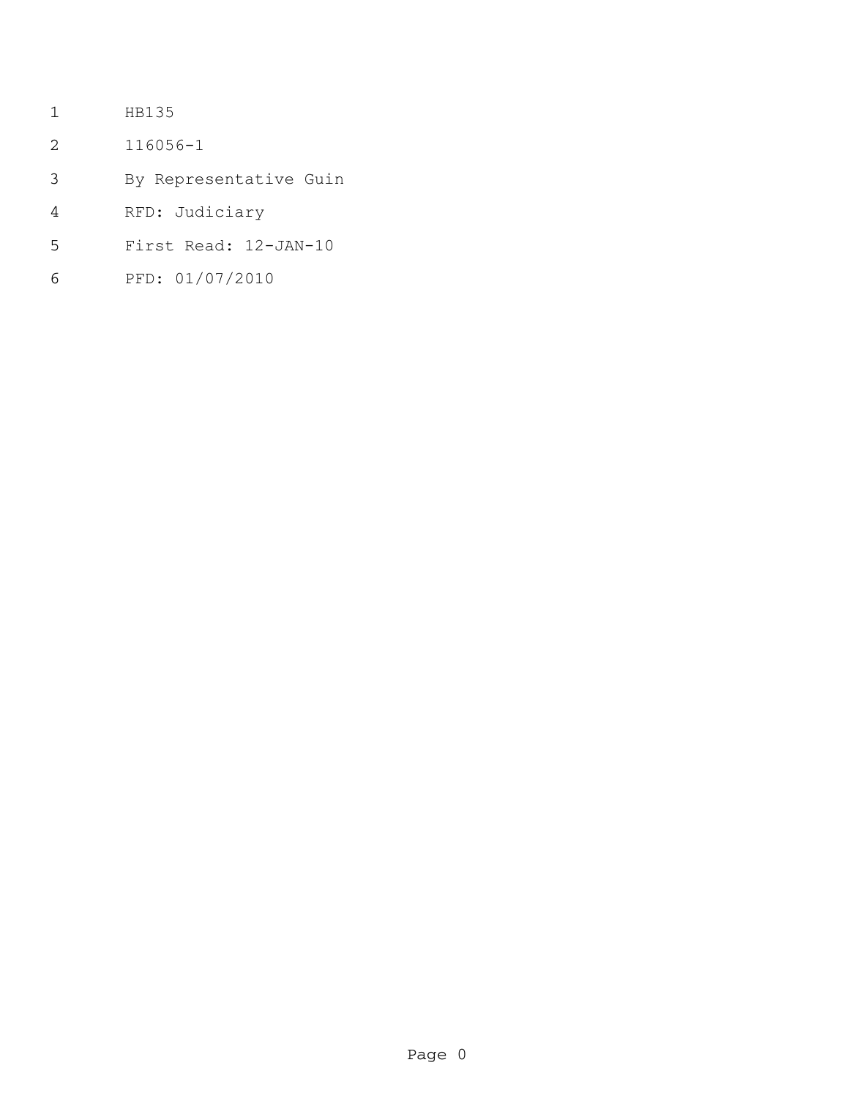- HB135
- 116056-1
- By Representative Guin
- RFD: Judiciary
- First Read: 12-JAN-10
- PFD: 01/07/2010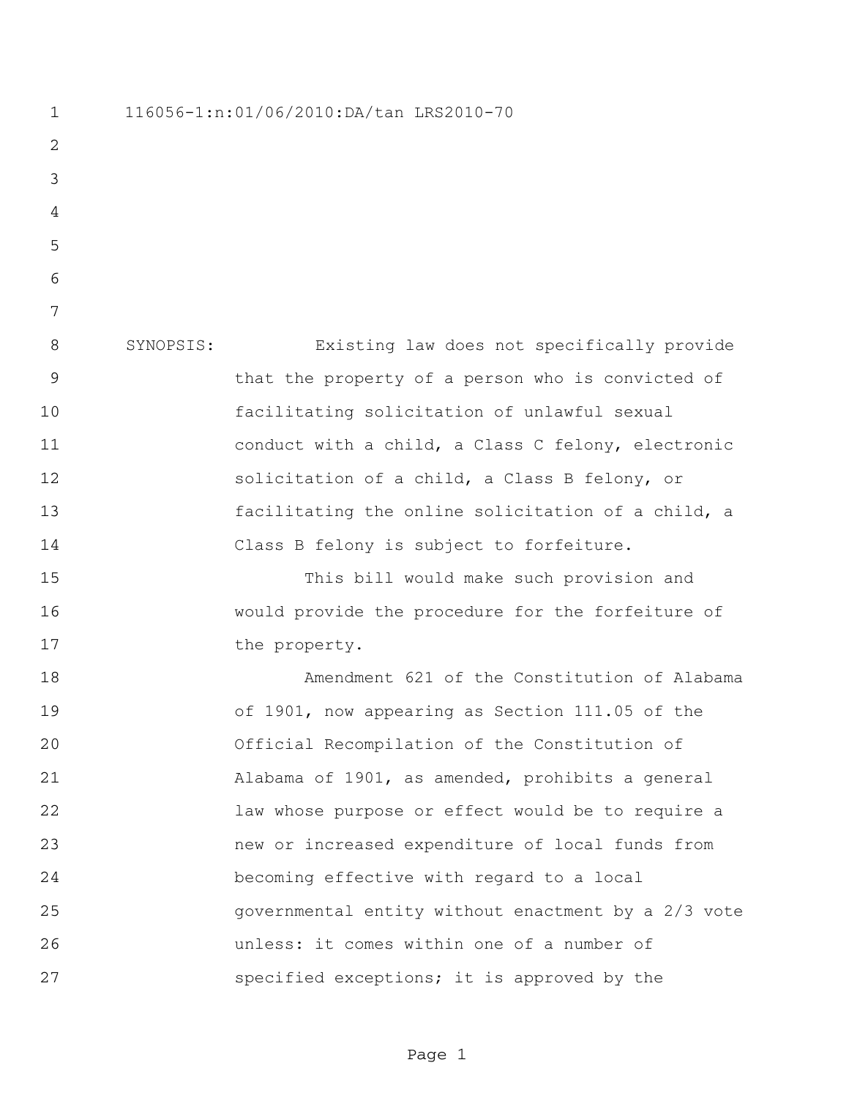116056-1:n:01/06/2010:DA/tan LRS2010-70 SYNOPSIS: Existing law does not specifically provide that the property of a person who is convicted of facilitating solicitation of unlawful sexual conduct with a child, a Class C felony, electronic solicitation of a child, a Class B felony, or facilitating the online solicitation of a child, a Class B felony is subject to forfeiture. This bill would make such provision and would provide the procedure for the forfeiture of 17 the property. Amendment 621 of the Constitution of Alabama of 1901, now appearing as Section 111.05 of the Official Recompilation of the Constitution of Alabama of 1901, as amended, prohibits a general law whose purpose or effect would be to require a new or increased expenditure of local funds from becoming effective with regard to a local governmental entity without enactment by a 2/3 vote unless: it comes within one of a number of specified exceptions; it is approved by the

Page 1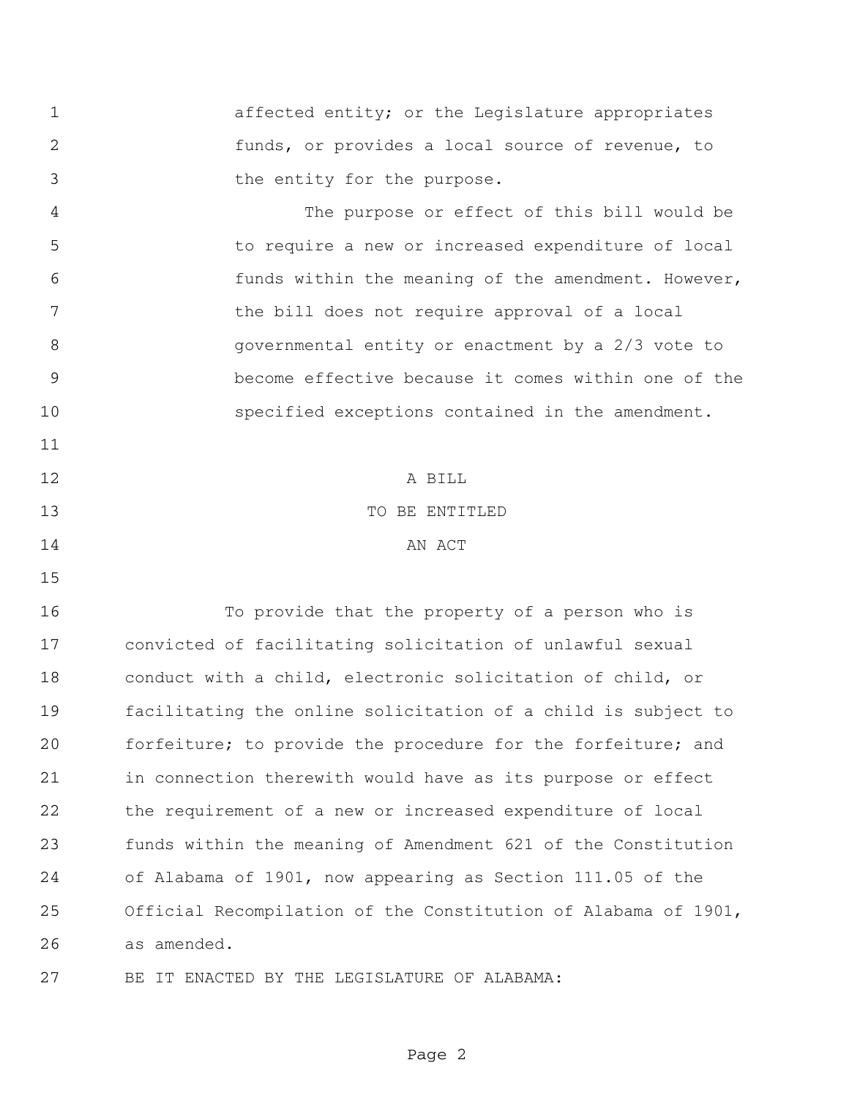affected entity; or the Legislature appropriates funds, or provides a local source of revenue, to the entity for the purpose.

 The purpose or effect of this bill would be to require a new or increased expenditure of local funds within the meaning of the amendment. However, 7 the bill does not require approval of a local governmental entity or enactment by a 2/3 vote to become effective because it comes within one of the specified exceptions contained in the amendment. 

 A BILL 13 TO BE ENTITLED 14 AN ACT

 To provide that the property of a person who is convicted of facilitating solicitation of unlawful sexual conduct with a child, electronic solicitation of child, or facilitating the online solicitation of a child is subject to forfeiture; to provide the procedure for the forfeiture; and in connection therewith would have as its purpose or effect the requirement of a new or increased expenditure of local funds within the meaning of Amendment 621 of the Constitution of Alabama of 1901, now appearing as Section 111.05 of the Official Recompilation of the Constitution of Alabama of 1901, as amended.

BE IT ENACTED BY THE LEGISLATURE OF ALABAMA: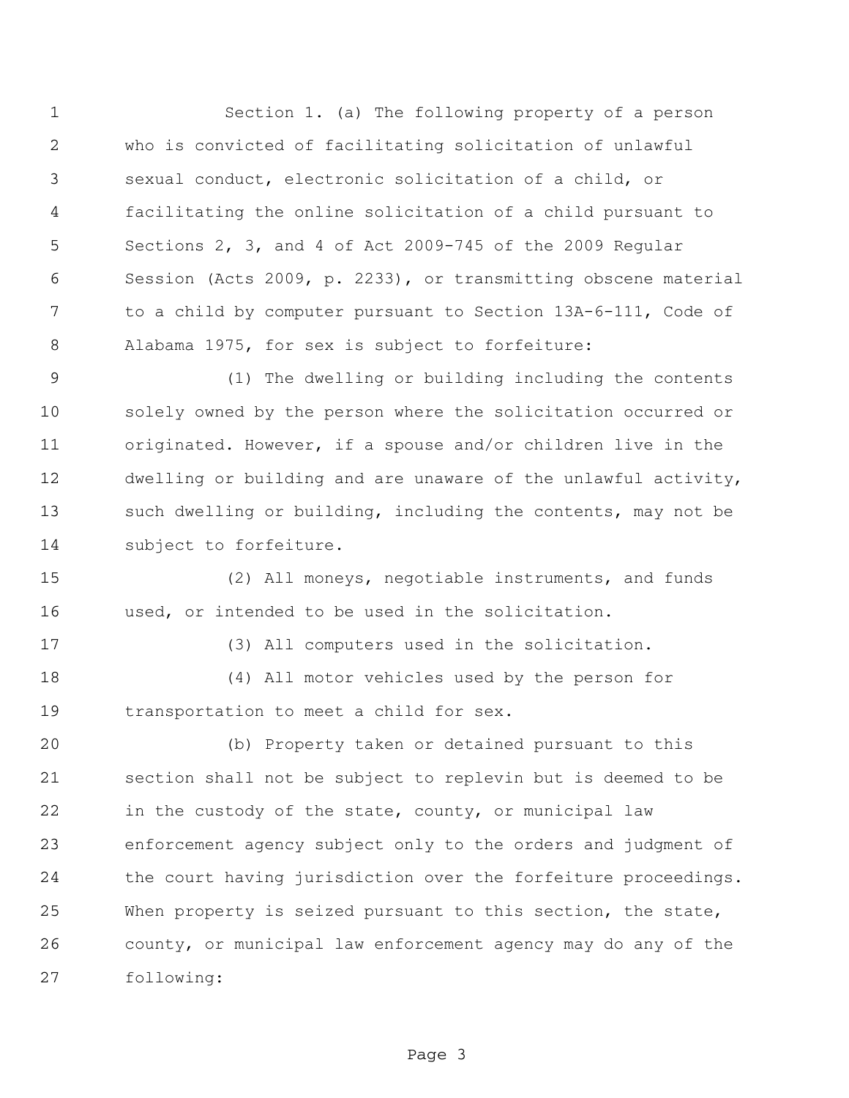Section 1. (a) The following property of a person who is convicted of facilitating solicitation of unlawful sexual conduct, electronic solicitation of a child, or facilitating the online solicitation of a child pursuant to Sections 2, 3, and 4 of Act 2009-745 of the 2009 Regular Session (Acts 2009, p. 2233), or transmitting obscene material to a child by computer pursuant to Section 13A-6-111, Code of Alabama 1975, for sex is subject to forfeiture:

 (1) The dwelling or building including the contents solely owned by the person where the solicitation occurred or originated. However, if a spouse and/or children live in the dwelling or building and are unaware of the unlawful activity, such dwelling or building, including the contents, may not be subject to forfeiture.

 (2) All moneys, negotiable instruments, and funds used, or intended to be used in the solicitation.

(3) All computers used in the solicitation.

 (4) All motor vehicles used by the person for transportation to meet a child for sex.

 (b) Property taken or detained pursuant to this section shall not be subject to replevin but is deemed to be in the custody of the state, county, or municipal law enforcement agency subject only to the orders and judgment of the court having jurisdiction over the forfeiture proceedings. When property is seized pursuant to this section, the state, county, or municipal law enforcement agency may do any of the following:

Page 3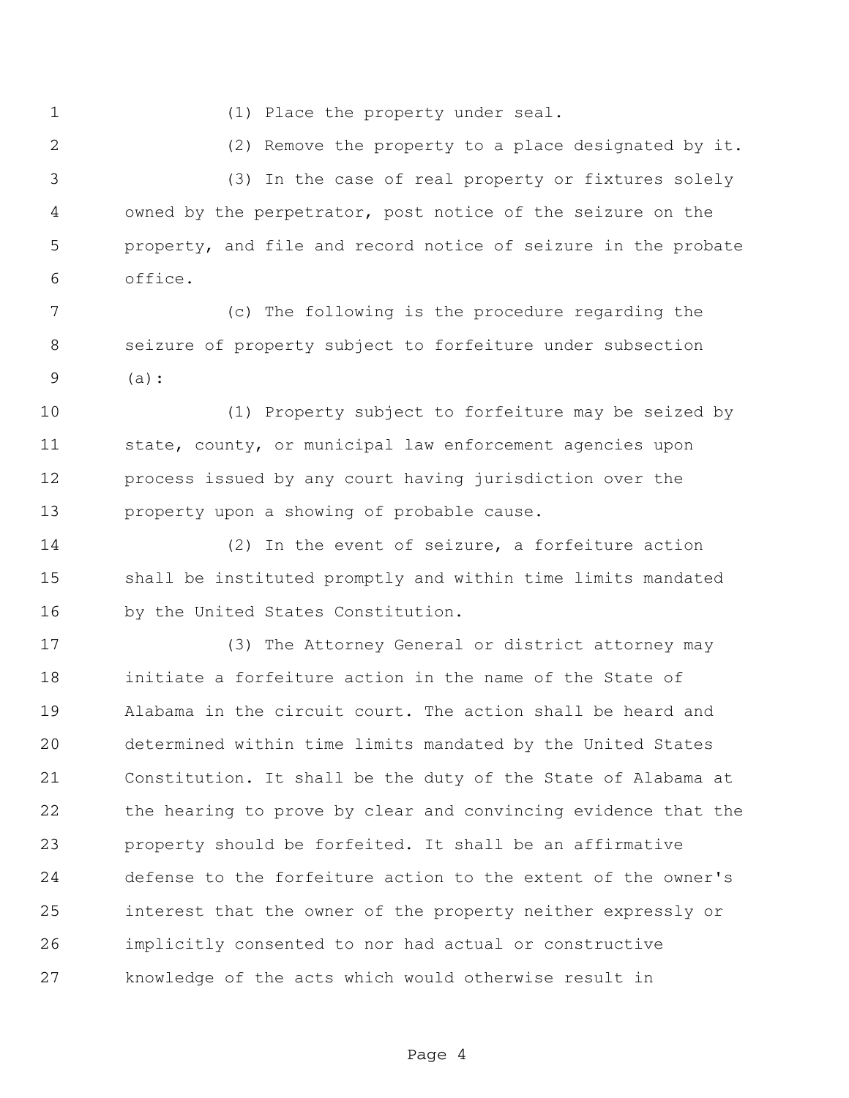- 
- (1) Place the property under seal.

(2) Remove the property to a place designated by it.

 (3) In the case of real property or fixtures solely owned by the perpetrator, post notice of the seizure on the property, and file and record notice of seizure in the probate office.

 (c) The following is the procedure regarding the seizure of property subject to forfeiture under subsection (a):

 (1) Property subject to forfeiture may be seized by state, county, or municipal law enforcement agencies upon process issued by any court having jurisdiction over the property upon a showing of probable cause.

 (2) In the event of seizure, a forfeiture action shall be instituted promptly and within time limits mandated by the United States Constitution.

 (3) The Attorney General or district attorney may initiate a forfeiture action in the name of the State of Alabama in the circuit court. The action shall be heard and determined within time limits mandated by the United States Constitution. It shall be the duty of the State of Alabama at the hearing to prove by clear and convincing evidence that the property should be forfeited. It shall be an affirmative defense to the forfeiture action to the extent of the owner's interest that the owner of the property neither expressly or implicitly consented to nor had actual or constructive knowledge of the acts which would otherwise result in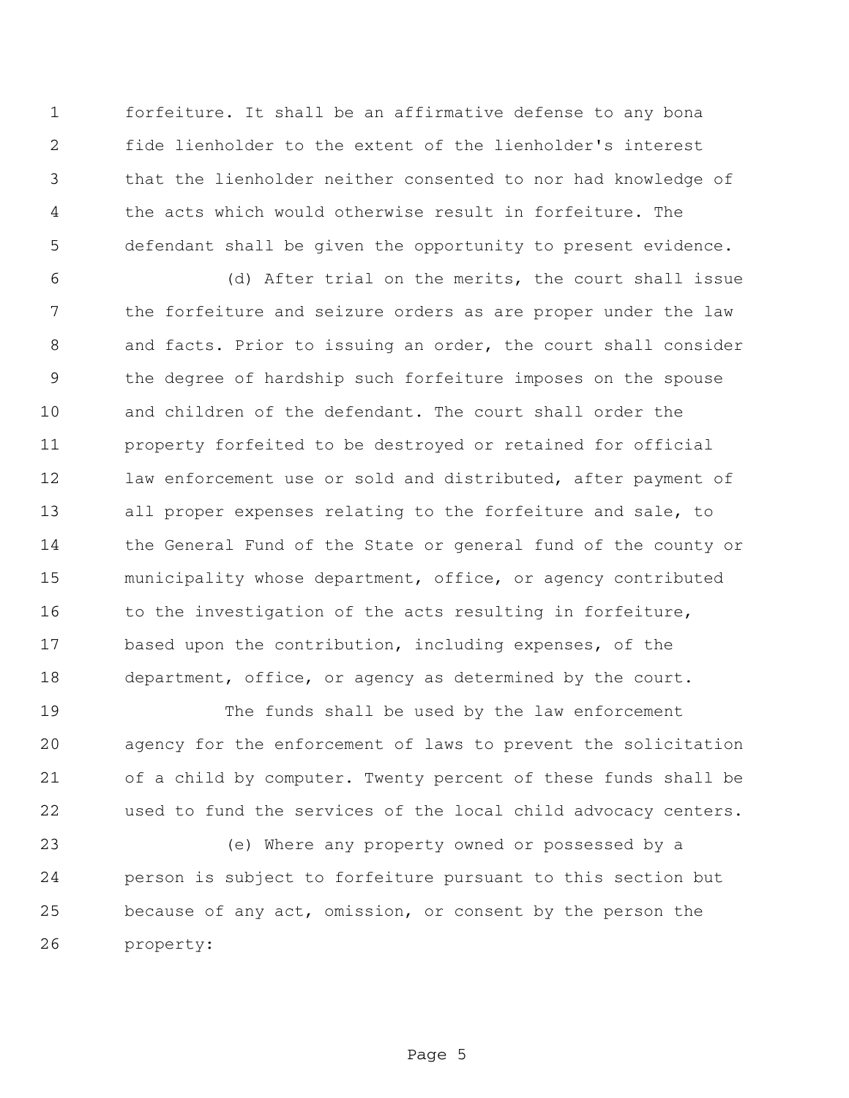forfeiture. It shall be an affirmative defense to any bona fide lienholder to the extent of the lienholder's interest that the lienholder neither consented to nor had knowledge of the acts which would otherwise result in forfeiture. The defendant shall be given the opportunity to present evidence.

 (d) After trial on the merits, the court shall issue the forfeiture and seizure orders as are proper under the law and facts. Prior to issuing an order, the court shall consider the degree of hardship such forfeiture imposes on the spouse and children of the defendant. The court shall order the property forfeited to be destroyed or retained for official 12 law enforcement use or sold and distributed, after payment of all proper expenses relating to the forfeiture and sale, to 14 the General Fund of the State or general fund of the county or municipality whose department, office, or agency contributed 16 to the investigation of the acts resulting in forfeiture, based upon the contribution, including expenses, of the department, office, or agency as determined by the court.

 The funds shall be used by the law enforcement agency for the enforcement of laws to prevent the solicitation of a child by computer. Twenty percent of these funds shall be used to fund the services of the local child advocacy centers.

 (e) Where any property owned or possessed by a person is subject to forfeiture pursuant to this section but because of any act, omission, or consent by the person the property: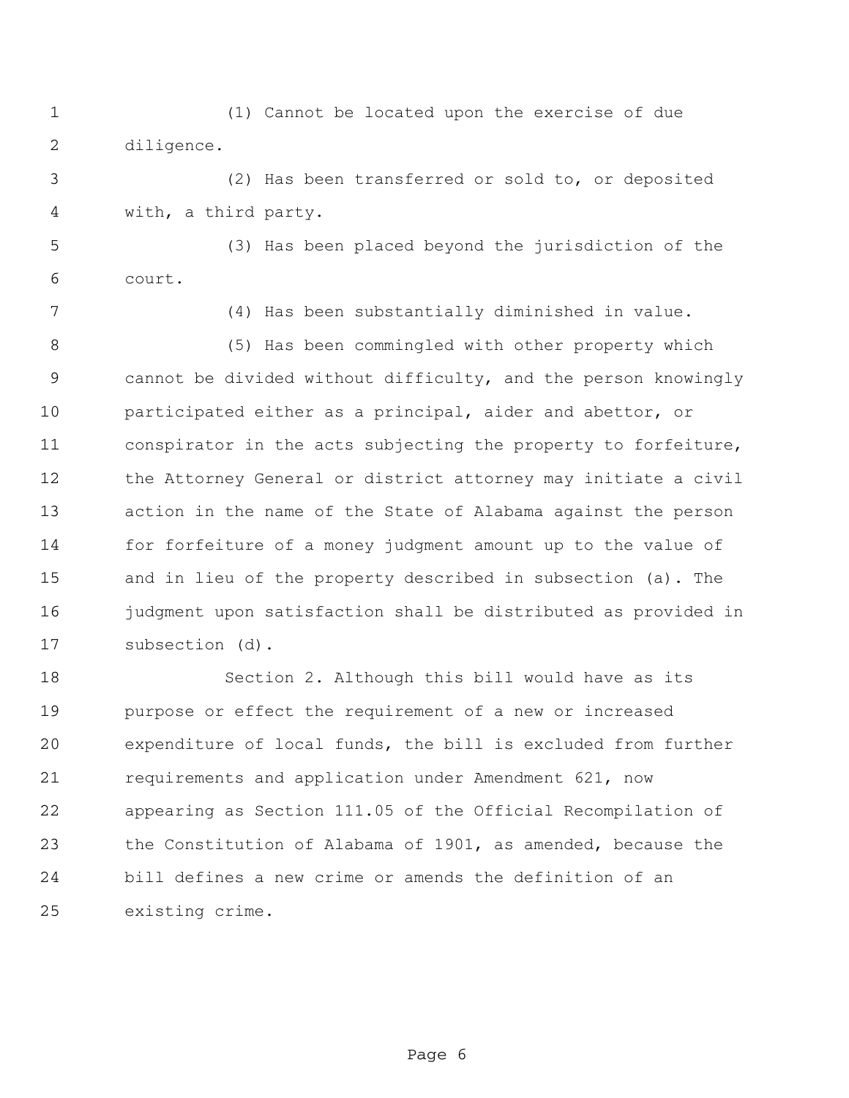(1) Cannot be located upon the exercise of due diligence.

 (2) Has been transferred or sold to, or deposited with, a third party.

 (3) Has been placed beyond the jurisdiction of the court.

(4) Has been substantially diminished in value.

 (5) Has been commingled with other property which cannot be divided without difficulty, and the person knowingly participated either as a principal, aider and abettor, or conspirator in the acts subjecting the property to forfeiture, the Attorney General or district attorney may initiate a civil action in the name of the State of Alabama against the person for forfeiture of a money judgment amount up to the value of and in lieu of the property described in subsection (a). The judgment upon satisfaction shall be distributed as provided in subsection (d).

 Section 2. Although this bill would have as its purpose or effect the requirement of a new or increased expenditure of local funds, the bill is excluded from further requirements and application under Amendment 621, now appearing as Section 111.05 of the Official Recompilation of the Constitution of Alabama of 1901, as amended, because the bill defines a new crime or amends the definition of an existing crime.